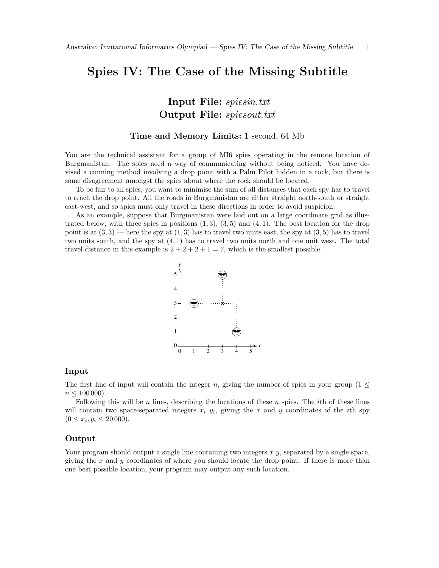# Spies IV: The Case of the Missing Subtitle

Input File: spiesin.txt Output File: spiesout.txt

### Time and Memory Limits: 1 second, 64 Mb

You are the technical assistant for a group of MI6 spies operating in the remote location of Burgmanistan. The spies need a way of communicating without being noticed. You have devised a cunning method involving a drop point with a Palm Pilot hidden in a rock, but there is some disagreement amongst the spies about where the rock should be located.

To be fair to all spies, you want to minimise the sum of all distances that each spy has to travel to reach the drop point. All the roads in Burgmanistan are either straight north-south or straight east-west, and so spies must only travel in these directions in order to avoid suspicion.

As an example, suppose that Burgmanistan were laid out on a large coordinate grid as illustrated below, with three spies in positions  $(1, 3)$ ,  $(3, 5)$  and  $(4, 1)$ . The best location for the drop point is at  $(3,3)$  — here the spy at  $(1,3)$  has to travel two units east, the spy at  $(3,5)$  has to travel two units south, and the spy at (4, 1) has to travel two units north and one unit west. The total travel distance in this example is  $2 + 2 + 2 + 1 = 7$ , which is the smallest possible.



#### Input

The first line of input will contain the integer n, giving the number of spies in your group ( $1 \le$  $n \leq 100\,000$ .

Following this will be  $n$  lines, describing the locations of these  $n$  spies. The *i*th of these lines will contain two space-separated integers  $x_i$   $y_i$ , giving the x and y coordinates of the *i*th spy  $(0 \le x_i, y_i \le 20000).$ 

#### Output

Your program should output a single line containing two integers  $x, y$ , separated by a single space, giving the  $x$  and  $y$  coordinates of where you should locate the drop point. If there is more than one best possible location, your program may output any such location.